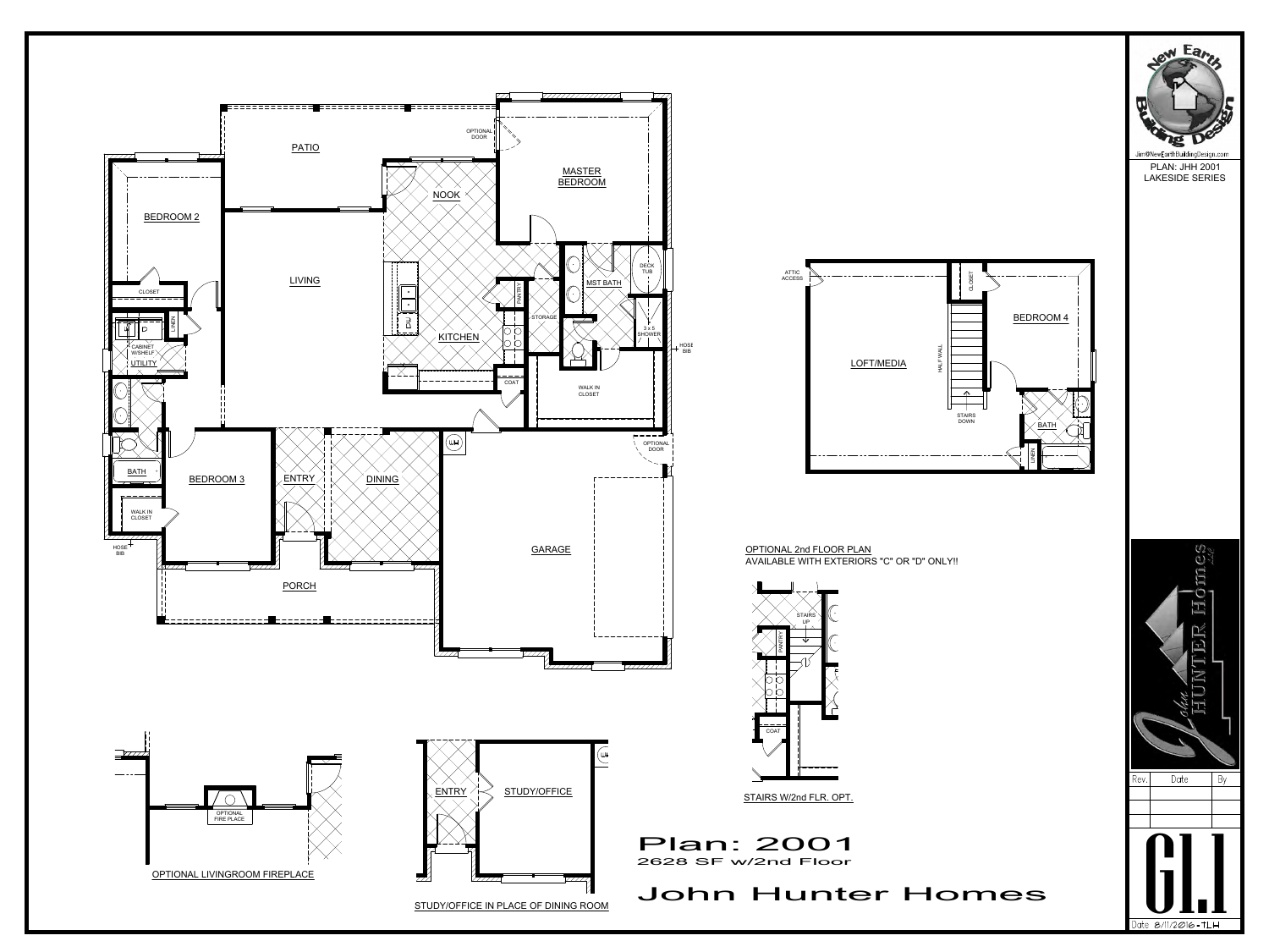HOSE BIB **B** 



Jim@NewEarthBuildingDesign.com PLAN: JHH 2001 LAKESIDE SERIES











OPTIONAL 2nd FLOOR PLAN AVAILABLE WITH EXTERIORS "C" OR "D" ONLY!!



STAIRS W/2nd FLR. OPT.

## John Hunter Homes

Plan: 2001 2628 SF w/2nd Floor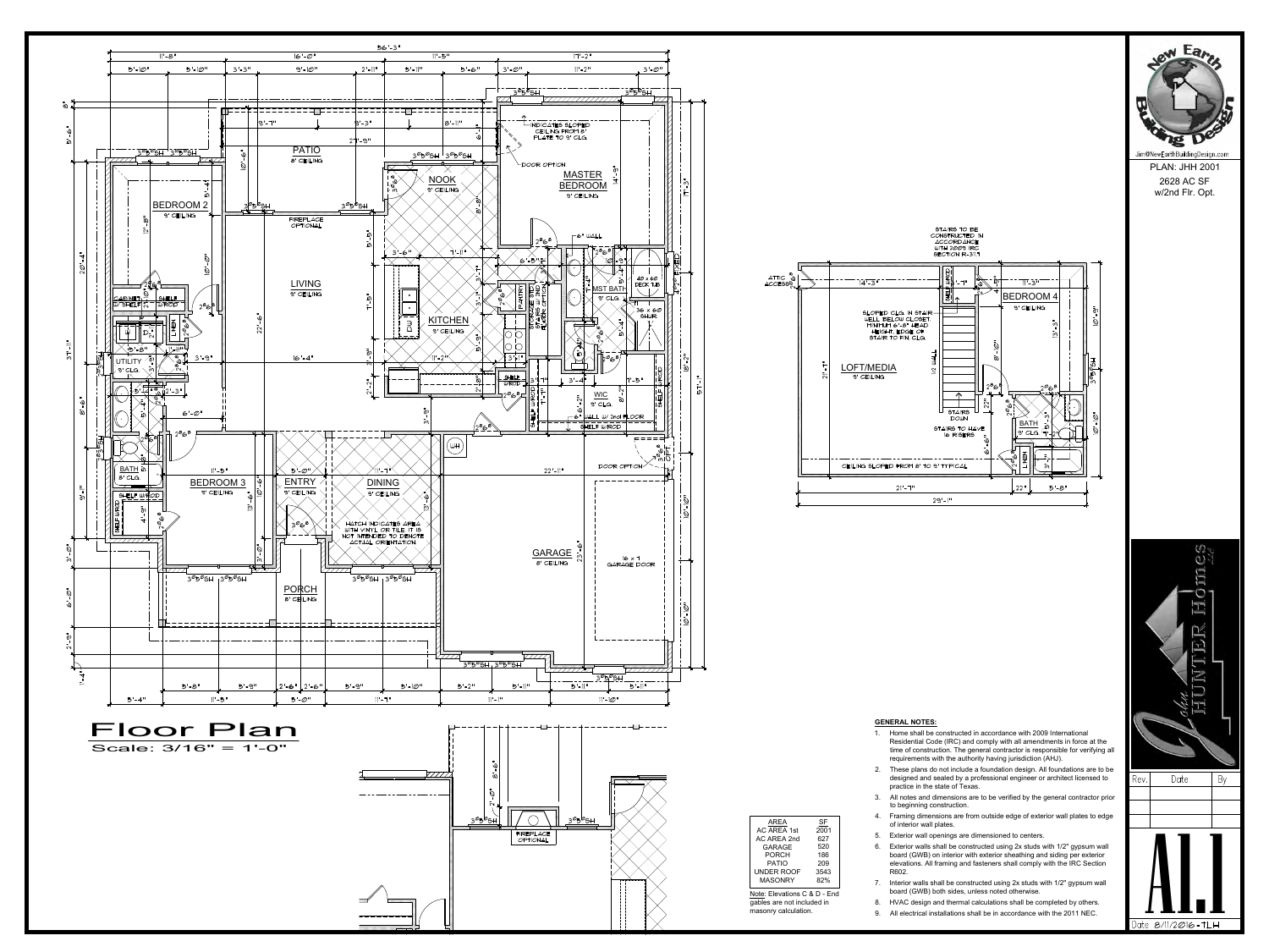



ew Earth Jim@NewEarthBuildingDesign.com

## **GENERAL NOTES:**

- **GENERAL NOTES:**<br>1. Home shall be constructed in accordance with 2009 International<br>Residential Code (IRC) and comply with all amendments in force at the<br>time of construction. The general contractor is responsible for veri Residential Code (IRC) and comply with all amendments in force at the time of construction. The general contractor is responsible for verifying all requirements with the authority having jurisdiction (AHJ). **GENERAL NOTES:**<br>
1. Home shall be constructed in accordance with 2009 International<br>
Residential Code (IRC) and comply with all amendments in force at the<br>
time of construction. The general contractor is responsible for v **GENERAL NOTES:**<br>
1. Home shall be constructed in accordance with 2009 International<br>
Residential Code (IRC) and comply with all amendments in force at the<br>
time of construction. The general contractor is responsible for 1. Home shall be constructed in accordance with 2009 International<br>
Residential Code (IRC) and comply with all amendments in force at the<br>
time of construction. The general contractor is responsible for verifying all<br>
req
- designed and sealed by a professional engineer or architect licensed to  $\qquad$  Rev.  $\qquad$  Date practice in the state of Texas.
- to beginning construction.
- of interior wall plates. SF and the set of the set of the set of the set of the set of the set of the set of the set of the set of the s
	-
- Framing of construction. The general contractor is responsible to<br>requirements with the authority having jurisdiction (AHJ).<br>2. These plans do not include a foundation design. All foundation<br>designed and sealed by a profes These plans do not include a foundation design. All foundations are to be designed and sealed by a professional engineer or architect licensed to practice in the state of Texas.<br>
3. All notes and dimensions are to be verif board (GWB) on interior with exterior sheathing and siding per exterior elevations. All framing and fasteners shall comply with the IRC Section R602. 7. In finites and dimensions are to be verified by the general contractor photomore to beginning construction.<br>
4. Framing dimensions are from outside edge of exterior wall plates to edge<br>
of interior wall plates.<br>
5. Exte Frammig unnerisions are nont outside edge or exterior wall plates to edge<br>of interior wall plates.<br>
Exterior walls shall be constructed using 2x studs with 1/2" gypsum wall<br>
board (GWB) on interior with exterior sheathing 9. Exterior wall openings are dimensioned to centers.<br>
9. Exterior walls shall be constructed using  $2x$  studs with  $1/2$ " gypsum wall<br>
board (GWB) on interior with exterior sheathing and siding per exterior<br>
elevations. 6. Exterior walls shall be constructed using 2x studs with 1/2" gypsum wall
	- board (GWB) both sides, unless noted otherwise.
- Note: Elevations C & D End<br>gables are not included in 8. HVAC design and thermal calculations shall be completed by others.
	-

 $\mathcal{U}$  $\mathbb{C}$ ITT. Ó 回 JER By  $A$ 

PLAN: JHH 2001 2628 AC SF w/2nd Flr. Opt.

gables are not included in masonry calculation.

|                              |                |           |    | F |
|------------------------------|----------------|-----------|----|---|
|                              | AREA           | <b>SF</b> |    |   |
|                              | AC AREA 1st    | 2001      |    |   |
|                              | AC AREA 2nd    | 627       | 5. | F |
|                              | <b>GARAGE</b>  | 520       | 6. | F |
|                              | <b>PORCH</b>   | 186       |    | ŀ |
|                              | PATIO          | 209       |    | € |
|                              | UNDER ROOF     | 3543      |    | F |
|                              | <b>MASONRY</b> | 82%       | 7  | I |
|                              |                |           |    |   |
| Note: Flevations C. & D. End |                |           |    |   |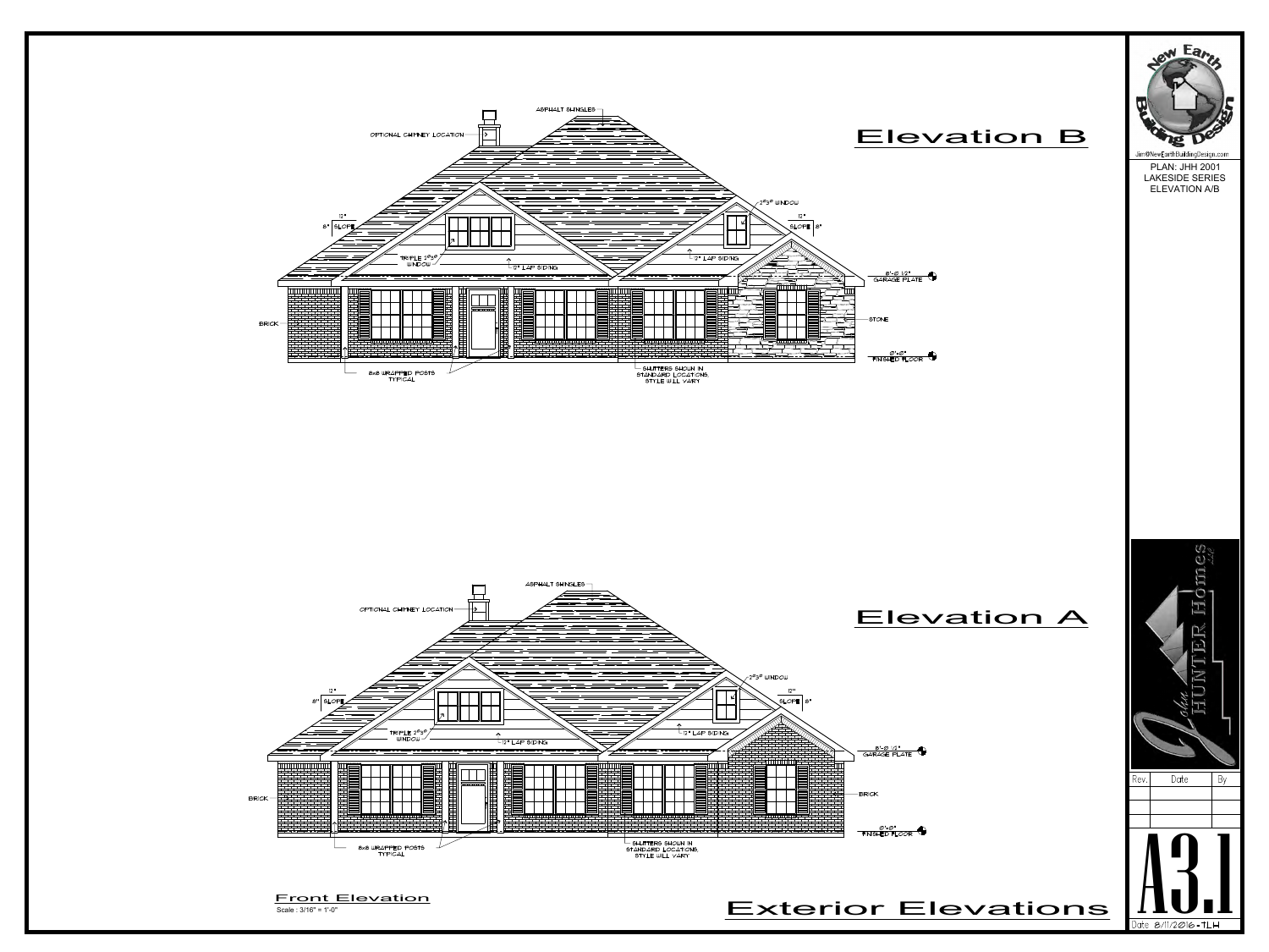

## Jim@NewEarthBuildingDesign.com PLAN: JHH 2001 LAKESIDE SERIES ELEVATION A/B



 $\mathcal{O}$ 

Scale : 3/16" = 1'-0"